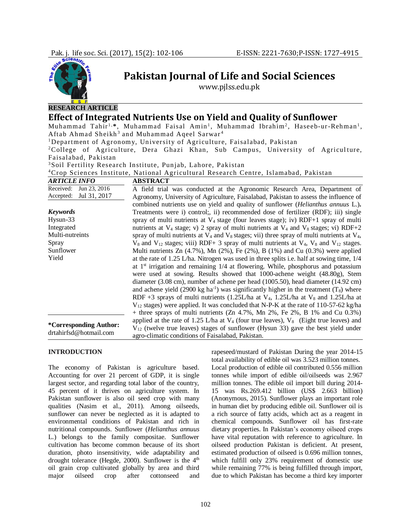

## **RESEARCH ARTICLE**

# **Effect of Integrated Nutrients Use on Yield and Quality of Sunflower**

Muhammad Tahir<sup>1,\*</sup>, Muhammad Faisal Amin<sup>1</sup>, Muhammad Ibrahim<sup>2</sup>, Haseeb-ur-Rehman<sup>1</sup>, Aftab Ahmad Sheikh<sup>3</sup> and Muhammad Aqeel Sarwar<sup>4</sup>

**Pakistan Journal of Life and Social Sciences** www.pjlss.edu.pk

<sup>1</sup>Department of Agronomy, University of Agriculture, Faisalabad, Pakistan

<sup>2</sup>College of Agriculture, Dera Ghazi Khan, Sub Campus, University of Agriculture, Faisalabad, Pakistan

<sup>3</sup>Soil Fertility Research Institute, Punjab, Lahore, Pakistan

<sup>4</sup>Crop Sciences Institute, National Agricultural Research Centre, Islamabad, Pakistan

| <b>ARTICLE INFO</b>       | <b>ABSTRACT</b>                                                                                        |
|---------------------------|--------------------------------------------------------------------------------------------------------|
| Received:<br>Jun 23, 2016 | A field trial was conducted at the Agronomic Research Area, Department of                              |
| Accepted:<br>Jul 31, 2017 | Agronomy, University of Agriculture, Faisalabad, Pakistan to assess the influence of                   |
|                           | combined nutrients use on yield and quality of sunflower ( <i>Helianthus annuus</i> L.).               |
| <b>Keywords</b>           | Treatments were i) control; ii) recommended dose of fertilizer (RDF); iii) single                      |
| Hysun-33                  | spray of multi nutrients at $V_4$ stage (four leaves stage); iv) RDF+1 spray of multi                  |
| Integrated                | nutrients at $V_4$ stage; v) 2 spray of multi nutrients at $V_4$ and $V_8$ stages; vi) RDF+2           |
| Multi-nutreints           | spray of multi nutrients at $V_4$ and $V_8$ stages; vii) three spray of multi nutrients at $V_4$ ,     |
| Spray                     | $V_8$ and $V_{12}$ stages; viii) RDF+ 3 spray of multi nutrients at $V_4$ , $V_8$ and $V_{12}$ stages. |
| Sunflower                 | Multi nutrients Zn $(4.7\%)$ , Mn $(2\%)$ , Fe $(2\%)$ , B $(1\%)$ and Cu $(0.3\%)$ were applied       |
| Yield                     | at the rate of 1.25 L/ha. Nitrogen was used in three splits i.e. half at sowing time, $1/4$            |
|                           | at $1st$ irrigation and remaining $1/4$ at flowering. While, phosphorus and potassium                  |
|                           | were used at sowing. Results showed that $1000$ -achene weight $(48.80g)$ , Stem                       |
|                           | diameter (3.08 cm), number of achene per head (1005.50), head diameter (14.92 cm)                      |
|                           | and achene yield (2900 kg ha <sup>-1</sup> ) was significantly higher in the treatment ( $T_8$ ) where |
|                           | RDF +3 sprays of multi nutrients (1.25L/ha at $V_4$ , 1.25L/ha at $V_8$ and 1.25L/ha at                |
|                           | $V_{12}$ stages) were applied. It was concluded that N-P-K at the rate of 110-57-62 kg/ha              |
|                           | + three sprays of multi nutrients (Zn 4.7%, Mn 2%, Fe 2%, B 1% and Cu $0.3\%$ )                        |
|                           | applied at the rate of 1.25 L/ha at $V_4$ (four true leaves), $V_8$ (Eight true leaves) and            |
| *Corresponding Author:    | $V_{12}$ (twelve true leaves) stages of sunflower (Hysun 33) gave the best yield under                 |
| drtahirfsd@hotmail.com    | agro-climatic conditions of Faisalabad, Pakistan.                                                      |

#### **INTRODUCTION**

The economy of Pakistan is agriculture based. Accounting for over 21 percent of GDP, it is single largest sector, and regarding total labor of the country, 45 percent of it thrives on agriculture system. In Pakistan sunflower is also oil seed crop with many qualities (Nasim et al., 2011). Among oilseeds, sunflower can never be neglected as it is adapted to environmental conditions of Pakistan and rich in nutritional compounds. Sunflower (*Helianthus annuus*  L*.*) belongs to the family compositae. Sunflower cultivation has become common because of its short duration, photo insensitivity, wide adaptability and drought tolerance (Hegde, 2000). Sunflower is the 4<sup>th</sup> oil grain crop cultivated globally by area and third major oilseed crop after cottonseed and

rapeseed/mustard of Pakistan During the year 2014-15 total availability of edible oil was 3.523 million tonnes. Local production of edible oil contributed 0.556 million tonnes while import of edible oil/oilseeds was 2.967 million tonnes. The edible oil import bill during 2014- 15 was Rs.269.412 billion (US\$ 2.663 billion) (Anonymous, 2015). Sunflower plays an important role in human diet by producing edible oil. Sunflower oil is a rich source of fatty acids, which act as a reagent in chemical compounds. Sunflower oil has first-rate dietary properties. In Pakistan's economy oilseed crops have vital reputation with reference to agriculture. In oilseed production Pakistan is deficient. At present, estimated production of oilseed is 0.696 million tonnes, which fulfill only 23% requirement of domestic use while remaining 77% is being fulfilled through import, due to which Pakistan has become a third key importer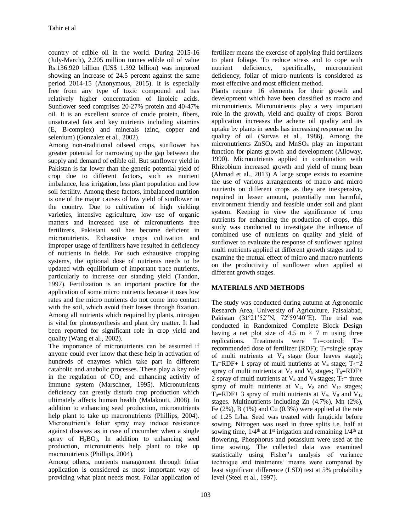country of edible oil in the world. During 2015-16 (July-March), 2.205 million tonnes edible oil of value Rs.136.920 billion (US\$ 1.392 billion) was imported showing an increase of 24.5 percent against the same period 2014-15 (Anonymous, 2015). It is especially free from any type of toxic compound and has relatively higher concentration of linoleic acids. Sunflower seed comprises 20-27% protein and 40-47% oil. It is an excellent source of crude protein, fibers, unsaturated fats and key nutrients including vitamins (E, B-complex) and minerals (zinc, copper and selenium) (Gonzalez et al*.,* 2002).

Among non-traditional oilseed crops, sunflower has greater potential for narrowing up the gap between the supply and demand of edible oil. But sunflower yield in Pakistan is far lower than the genetic potential yield of crop due to different factors, such as nutrient imbalance, less irrigation, less plant population and low soil fertility. Among these factors, imbalanced nutrition is one of the major causes of low yield of sunflower in the country. Due to cultivation of high yielding varieties, intensive agriculture, low use of organic matters and increased use of micronutrients free fertilizers, Pakistani soil has become deficient in micronutrients. Exhaustive crops cultivation and improper usage of fertilizers have resulted in deficiency of nutrients in fields. For such exhaustive cropping systems, the optional dose of nutrients needs to be updated with equilibrium of important trace nutrients, particularly to increase our standing yield (Tandon, 1997). Fertilization is an important practice for the application of some micro nutrients because it uses low rates and the micro nutrients do not come into contact with the soil, which avoid their losses through fixation. Among all nutrients which required by plants, nitrogen is vital for photosynthesis and plant dry matter. It had been reported for significant role in crop yield and quality (Wang et al., 2002).

The importance of micronutrients can be assumed if anyone could ever know that these help in activation of hundreds of enzymes which take part in different catabolic and anabolic processes. These play a key role in the regulation of  $CO<sub>2</sub>$  and enhancing activity of immune system (Marschner, 1995). Micronutrients deficiency can greatly disturb crop production which ultimately affects human health (Malakouti, 2008). In addition to enhancing seed production, micronutrients help plant to take up macronutrients (Phillips, 2004). Micronutrient's foliar spray may induce resistance against diseases as in case of cucumber when a single spray of H3BO3, In addition to enhancing seed production, micronutrients help plant to take up macronutrients (Phillips, 2004).

Among others, nutrients management through foliar application is considered as most important way of providing what plant needs most. Foliar application of fertilizer means the exercise of applying fluid fertilizers to plant foliage. To reduce stress and to cope with nutrient deficiency, specifically, micronutrient deficiency, foliar of micro nutrients is considered as most effective and most efficient method.

Plants require 16 elements for their growth and development which have been classified as macro and micronutrients. Micronutrients play a very important role in the growth, yield and quality of crops. Boron application increases the achene oil quality and its uptake by plants in seeds has increasing response on the quality of oil (Survas et al., 1986). Among the micronutrients ZnSO<sup>4</sup> and MnSO<sup>4</sup> play an important function for plants growth and development (Alloway, 1990). Micronutrients applied in combination with Rhizobium increased growth and yield of mung bean (Ahmad et al., 2013) A large scope exists to examine the use of various arrangements of macro and micro nutrients on different crops as they are inexpensive, required in lesser amount, potentially non harmful, environment friendly and feasible under soil and plant system. Keeping in view the significance of crop nutrients for enhancing the production of crops, this study was conducted to investigate the influence of combined use of nutrients on quality and yield of sunflower to evaluate the response of sunflower against multi nutrients applied at different growth stages and to examine the mutual effect of micro and macro nutrients on the productivity of sunflower when applied at different growth stages.

## **MATERIALS AND METHODS**

The study was conducted during autumn at Agronomic Research Area, University of Agriculture, Faisalabad, Pakistan (31°21'52"N, 72°59'40"E). The trial was conducted in Randomized Complete Block Design having a net plot size of 4.5 m  $\times$  7 m using three replications. Treatments were  $T_1$ =control;  $T_2$ = recommended dose of fertilizer (RDF);  $T_3$ =single spray of multi nutrients at  $V_4$  stage (four leaves stage);  $T_4$ =RDF+ 1 spray of multi nutrients at  $V_4$  stage;  $T_5$ =2 spray of multi nutrients at  $V_4$  and  $V_8$  stages; T<sub>6</sub>=RDF+ 2 spray of multi nutrients at  $V_4$  and  $V_8$  stages;  $T_7$ = three spray of multi nutrients at  $V_4$ ,  $V_8$  and  $V_{12}$  stages;  $T_8=RDF+3$  spray of multi nutrients at  $V_4$ ,  $V_8$  and  $V_{12}$ stages. Multinutrients including Zn (4.7%), Mn (2%), Fe  $(2\%)$ , B  $(1\%)$  and Cu  $(0.3\%)$  were applied at the rate of 1.25 L/ha. Seed was treated with fungicide before sowing. Nitrogen was used in three splits i.e. half at sowing time,  $1/4$ <sup>th</sup> at 1<sup>st</sup> irrigation and remaining  $1/4$ <sup>th</sup> at flowering. Phosphorus and potassium were used at the time sowing. The collected data was examined statistically using Fisher's analysis of variance technique and treatments' means were compared by least significant difference (LSD) test at 5% probability level (Steel et al., 1997).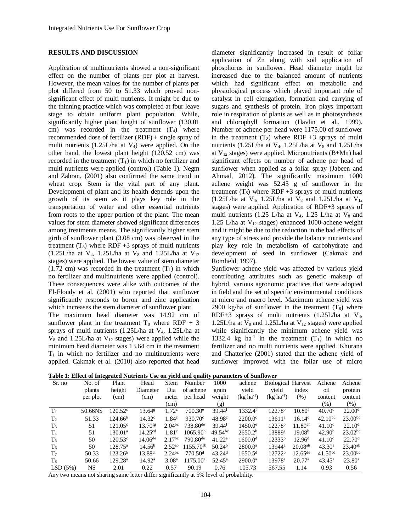#### **RESULTS AND DISCUSSION**

Application of multinutrients showed a non-significant effect on the number of plants per plot at harvest. However, the mean values for the number of plants per plot differed from 50 to 51.33 which proved nonsignificant effect of multi nutrients. It might be due to the thinning practice which was completed at four leave stage to obtain uniform plant population. While, significantly higher plant height of sunflower (130.01 cm) was recorded in the treatment  $(T_4)$  where recommended dose of fertilizer (RDF) + single spray of multi nutrients  $(1.25L/ha$  at  $V_4$ ) were applied. On the other hand, the lowest plant height (120.52 cm) was recorded in the treatment  $(T_1)$  in which no fertilizer and multi nutrients were applied (control) (Table 1). Negm and Zahran, (2001) also confirmed the same trend in wheat crop. Stem is the vital part of any plant. Development of plant and its health depends upon the growth of its stem as it plays key role in the transportation of water and other essential nutrients from roots to the upper portion of the plant. The mean values for stem diameter showed significant differences among treatments means. The significantly higher stem girth of sunflower plant (3.08 cm) was observed in the treatment  $(T_8)$  where RDF +3 sprays of multi nutrients (1.25L/ha at V<sub>4</sub>, 1.25L/ha at V<sub>8</sub> and 1.25L/ha at V<sub>12</sub> stages) were applied. The lowest value of stem diameter  $(1.72 \text{ cm})$  was recorded in the treatment  $(T_1)$  in which no fertilizer and multinutrients were applied (control). These consequences were alike with outcomes of the El-Floudy et al. (2001) who reported that sunflower significantly responds to boron and zinc application which increases the stem diameter of sunflower plant.

The maximum head diameter was 14.92 cm of sunflower plant in the treatment  $T_8$  where RDF + 3 sprays of multi nutrients (1.25L/ha at V<sub>4</sub>, 1.25L/ha at  $V_8$  and 1.25L/ha at  $V_{12}$  stages) were applied while the minimum head diameter was 13.64 cm in the treatment  $T_1$  in which no fertilizer and no multinutrients were applied. Cakmak et al. (2010) also reported that head

diameter significantly increased in result of foliar application of Zn along with soil application of phosphorus in sunflower. Head diameter might be increased due to the balanced amount of nutrients which had significant effect on metabolic and physiological process which played important role of catalyst in cell elongation, formation and carrying of sugars and synthesis of protein. Iron plays important role in respiration of plants as well as in photosynthesis and chlorophyll formation (Havlin et al., 1999). Number of achene per head were 1175.00 of sunflower in the treatment  $(T_8)$  where RDF +3 sprays of multi nutrients (1.25L/ha at  $V_4$ , 1.25L/ha at  $V_8$  and 1.25L/ha at  $V_{12}$  stages) were applied. Micronutrients (B+Mn) had significant effects on number of achene per head of sunflower when applied as a foliar spray (Jabeen and Ahmad, 2012). The significantly maximum 1000 achene weight was 52.45 g of sunflower in the treatment  $(T_8)$  where RDF +3 sprays of multi nutrients (1.25L/ha at V<sub>4</sub>, 1.25L/ha at V<sub>8</sub> and 1.25L/ha at V<sub>12</sub> stages) were applied. Application of RDF+3 sprays of multi nutrients (1.25 L/ha at  $V_4$ , 1.25 L/ha at  $V_8$  and 1.25 L/ha at  $V_{12}$  stages) enhanced 1000-achene weight and it might be due to the reduction in the bad effects of any type of stress and provide the balance nutrients and play key role in metabolism of carbohydrate and development of seed in sunflower (Cakmak and Romheld, 1997).

Sunflower achene yield was affected by various yield contributing attributes such as genetic makeup of hybrid, various agronomic practices that were adopted in field and the set of specific environmental conditions at micro and macro level. Maximum achene yield was 2900 kg/ha of sunflower in the treatment  $(T_8)$  where RDF+3 sprays of multi nutrients (1.25L/ha at V4, 1.25L/ha at  $V_8$  and 1.25L/ha at  $V_{12}$  stages) were applied while significantly the minimum achene yield was 1332.4 kg ha<sup>-1</sup> in the treatment  $(T_1)$  in which no fertilizer and no multi nutrients were applied. Khurana and Chatterjee (2001) stated that the achene yield of sunflower improved with the foliar use of micro

|  |  |  |  |  | Table 1: Effect of Integrated Nutrients Use on yield and quality parameters of Sunflower |
|--|--|--|--|--|------------------------------------------------------------------------------------------|
|--|--|--|--|--|------------------------------------------------------------------------------------------|

| Sr. no         | No. of   | Plant               | Head                  | <b>Stem</b>          | Number                 | 1000               | achene                | <b>Biological Harvest</b> |                       | Achene              | Achene             |
|----------------|----------|---------------------|-----------------------|----------------------|------------------------|--------------------|-----------------------|---------------------------|-----------------------|---------------------|--------------------|
|                | plants   | height              | Diameter              | Dia                  | of achene              | grain              | yield                 | vield                     | index                 | oil                 | protein            |
|                | per plot | (cm)                | (cm)                  | meter                | per head               | weight             | $(kg ha-1)$           | $(kg ha-1)$               | (% )                  | content             | content            |
|                |          |                     |                       | (cm)                 |                        | (g)                |                       |                           |                       | $(\%)$              | $(\% )$            |
| $T_1$          | 50.66NS  | $120.52^{\circ}$    | 13.64 <sup>g</sup>    | 1.72 <sup>c</sup>    | $700.30^{\circ}$       | 39.44 <sup>f</sup> | $1332.4$ <sup>f</sup> | $12278^{\rm b}$           | 10.80 <sup>f</sup>    | 40.70 <sup>d</sup>  | 22.00 <sup>d</sup> |
| T <sub>2</sub> | 51.33    | 124.66 <sup>b</sup> | 14.32 <sup>c</sup>    | 1.84 <sup>c</sup>    | $930.70^{\circ}$       | 48.98 <sup>c</sup> | $2200.0^{\circ}$      | $13611^a$                 | $16.14^c$             | $42.10^{bc}$        | $23.00^{bc}$       |
| $T_3$          | 51       | $121.05^{\circ}$    | $13.70$ <sup>fg</sup> | 2.04 <sup>bc</sup>   | $738.80$ <sup>de</sup> | 39.44 <sup>f</sup> | $1450.0^{\circ}$      | 12278 <sup>b</sup>        | $11.80$ <sup>ef</sup> | 41.10 <sup>d</sup>  | 22.10 <sup>d</sup> |
| T <sub>4</sub> | 51       | $130.01^{\rm a}$    | 14.25 <sup>cd</sup>   | 1.81 <sup>c</sup>    | 1065.90 <sup>b</sup>   | $49.54^{bc}$       | 2650.2 <sup>b</sup>   | 13889 <sup>a</sup>        | 19.08 <sup>b</sup>    | 42.90 <sup>b</sup>  | $23.02^{bc}$       |
| $T_5$          | 50       | $120.53^{\circ}$    | $14.06^{\text{de}}$   | 2.17 <sup>bc</sup>   | $790.80^{\text{de}}$   | $41.22^e$          | 1600.0 <sup>d</sup>   | $12333^{b}$               | 12.96 <sup>d</sup>    | 41.10 <sup>d</sup>  | $22.70^{\circ}$    |
| $T_6$          | 50       | $128.75^{\circ}$    | $14.56^{\rm b}$       | $2.52^{ab}$          | $1155.70^{ab}$         | 50.24 <sup>b</sup> | $2800.0^{\rm a}$      | $13944^a$                 | $20.08^{ab}$          | $43.30^a$           | $23.40^{ab}$       |
| T <sub>7</sub> | 50.33    | 123.26 <sup>b</sup> | $13.88$ <sup>ef</sup> | $2.24$ <sup>bc</sup> | 770.50 <sup>d</sup>    | 43.24 <sup>d</sup> | $1650.5^{\rm d}$      | 12722 <sup>b</sup>        | $12.65^{\text{de}}$   | 41.50 <sup>cd</sup> | $23.00^{bc}$       |
| T <sub>8</sub> | 50.66    | $129.28^{\rm a}$    | $14.92^{\rm a}$       | 3.08 <sup>a</sup>    | 1175.00 <sup>a</sup>   | $52.45^{\circ}$    | $2900.0^a$            | 13978 <sup>a</sup>        | $20.77^{\rm a}$       | $43.45^{\circ}$     | $23.80^a$          |
| LSD(5%)        | NS       | 2.01                | 0.22                  | 0.57                 | 90.19                  | 0.76               | 105.73                | 567.55                    | 1.14                  | 0.93                | 0.56               |

Any two means not sharing same letter differ significantly at 5% level of probability.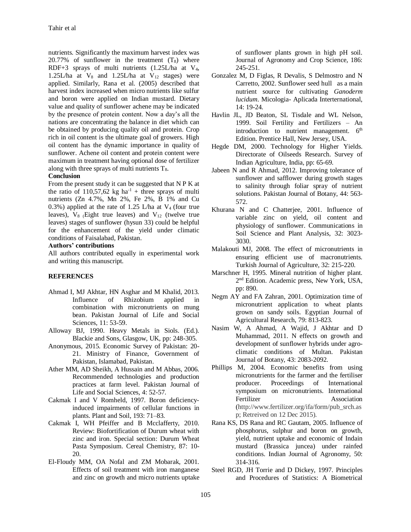nutrients. Significantly the maximum harvest index was 20.77% of sunflower in the treatment  $(T_8)$  where RDF+3 sprays of multi nutrients  $(1.25L/ha$  at  $V_4$ , 1.25L/ha at  $V_8$  and 1.25L/ha at  $V_{12}$  stages) were applied. Similarly, Rana et al. (2005) described that harvest index increased when micro nutrients like sulfur and boron were applied on Indian mustard. Dietary value and quality of sunflower achene may be indicated by the presence of protein content. Now a day's all the nations are concentrating the balance in diet which can be obtained by producing quality oil and protein. Crop rich in oil content is the ultimate goal of growers. High oil content has the dynamic importance in quality of sunflower. Achene oil content and protein content were maximum in treatment having optional dose of fertilizer along with three sprays of multi nutrients  $T_8$ .

## **Conclusion**

From the present study it can be suggested that N P K at the ratio of 110,57,62 kg ha<sup>-1</sup> + three sprays of multi nutrients (Zn 4.7%, Mn 2%, Fe 2%, B 1% and Cu 0.3%) applied at the rate of 1.25 L/ha at  $V_4$  (four true leaves),  $V_8$  (Eight true leaves) and  $V_{12}$  (twelve true leaves) stages of sunflower (hysun 33) could be helpful for the enhancement of the yield under climatic conditions of Faisalabad, Pakistan.

#### **Authors' contributions**

All authors contributed equally in experimental work and writing this manuscript.

## **REFERENCES**

- Ahmad I, MJ Akhtar, HN Asghar and M Khalid, 2013. Influence of Rhizobium applied in combination with micronutrients on mung bean. Pakistan Journal of Life and Social Sciences, 11: 53-59.
- Alloway BJ, 1990. Heavy Metals in Siols. (Ed.). Blackie and Sons, Glasgow, UK, pp: 248-305.
- Anonymous, 2015. Economic Survey of Pakistan: 20- 21. Ministry of Finance, Government of Pakistan, Islamabad, Pakistan.
- Ather MM, AD Sheikh, A Hussain and M Abbas, 2006. Recommended technologies and production practices at farm level. Pakistan Journal of Life and Social Sciences, 4: 52-57.
- Cakmak I and V Romheld, 1997. Boron deficiencyinduced impairments of cellular functions in plants. Plant and Soil, 193: 71–83.
- Cakmak I, WH Pfeiffer and B Mcclafferty, 2010. Review: Biofortification of Durum wheat with zinc and iron. Special section: Durum Wheat Pasta Symposium. Cereal Chemistry, 87: 10- 20.
- El-Floudy MM, OA Nofal and ZM Mobarak, 2001. Effects of soil treatment with iron manganese and zinc on growth and micro nutrients uptake

of sunflower plants grown in high pH soil. Journal of Agronomy and Crop Science, 186: 245-251.

- Gonzalez M, D Figlas, R Devalis, S Delmostro and N Carretto, 2002. Sunflower seed hull as a main nutrient source for cultivating *Ganoderm lucidum*. Micologia- Aplicada Interternational, 14: 19-24.
- Havlin JL, JD Beaton, SL Tisdale and WL Nelson, 1999. Soil Fertility and Fertilizers – An introduction to nutrient management. 6<sup>th</sup> Edition. Prentice Hall, New Jersey, USA.
- Hegde DM, 2000. Technology for Higher Yields. Directorate of Oilseeds Research. Survey of Indian Agriculture, India, pp: 65-69.
- Jabeen N and R Ahmad, 2012. Improving tolerance of sunflower and safflower during growth stages to salinity through foliar spray of nutrient solutions. Pakistan Journal of Botany, 44: 563- 572.
- Khurana N and C Chatterjee, 2001. Influence of variable zinc on yield, oil content and physiology of sunflower. Communications in Soil Science and Plant Analysis, 32: 3023- 3030.
- Malakouti MJ, 2008. The effect of micronutrients in ensuring efficient use of macronutrients. Turkish Journal of Agriculture, 32: 215-220.
- Marschner H, 1995. Mineral nutrition of higher plant. 2<sup>nd</sup> Edition. Academic press, New York, USA, pp: 890.
- Negm AY and FA Zahran, 2001. Optimization time of micronutrient application to wheat plants grown on sandy soils. Egyptian Journal of Agricultural Research, 79: 813-823.
- Nasim W, A Ahmad, A Wajid, J Akhtar and D Muhammad, 2011. N effects on growth and development of sunflower hybrids under agroclimatic conditions of Multan. Pakistan Journal of Botany, 43: 2083-2092.
- Phillips M, 2004. Economic benefits from using micronutrients for the farmer and the fertiliser producer. Proceedings of International symposium on micronutrients. International Fertilizer Association (http://www.fertilizer.org/ifa/form/pub\_srch.as p; Retreived on 12 Dec 2015).
- Rana KS, DS Rana and RC Gautam, 2005. Influence of phosphorus, sulphur and boron on growth, yield, nutrient uptake and economic of Indain mustard (Brassica juncea) under rainfed conditions. Indian Journal of Agronomy, 50: 314-316.
- Steel RGD, JH Torrie and D Dickey, 1997. Principles and Procedures of Statistics: A Biometrical